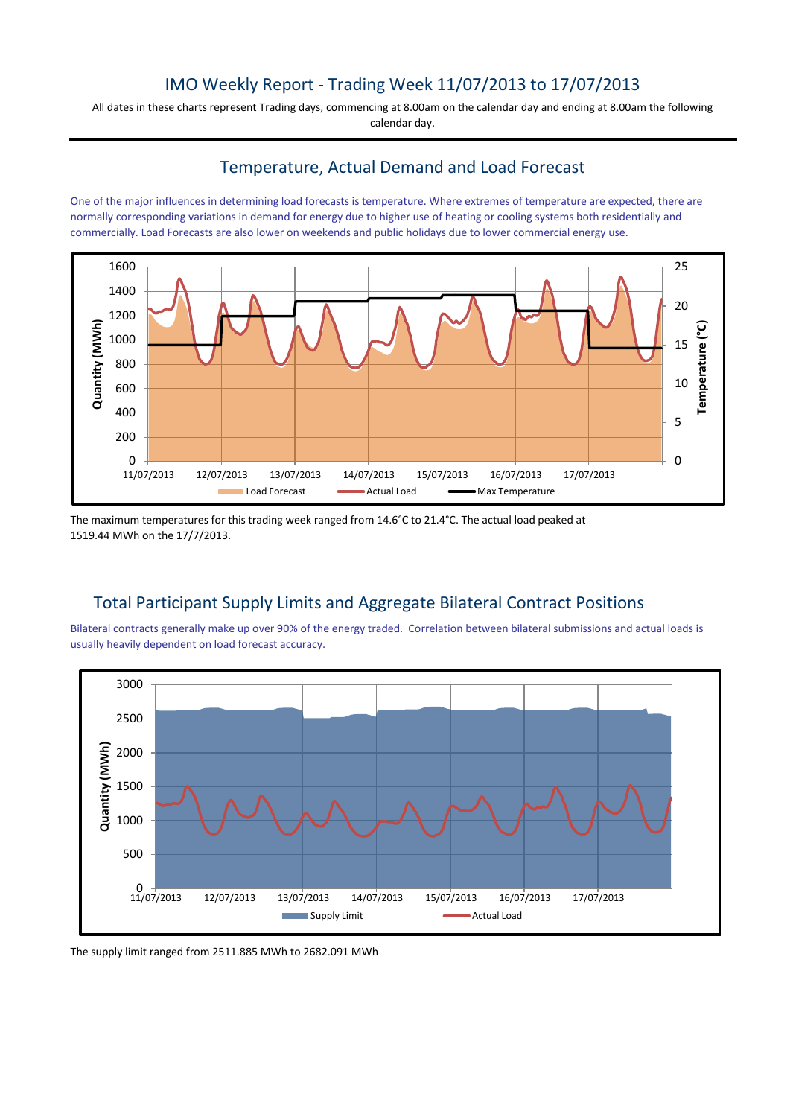# IMO Weekly Report - Trading Week 11/07/2013 to 17/07/2013

All dates in these charts represent Trading days, commencing at 8.00am on the calendar day and ending at 8.00am the following calendar day.

### Temperature, Actual Demand and Load Forecast

One of the major influences in determining load forecasts is temperature. Where extremes of temperature are expected, there are normally corresponding variations in demand for energy due to higher use of heating or cooling systems both residentially and commercially. Load Forecasts are also lower on weekends and public holidays due to lower commercial energy use.



The maximum temperatures for this trading week ranged from 14.6°C to 21.4°C. The actual load peaked at 1519.44 MWh on the 17/7/2013.

# Total Participant Supply Limits and Aggregate Bilateral Contract Positions

Bilateral contracts generally make up over 90% of the energy traded. Correlation between bilateral submissions and actual loads is usually heavily dependent on load forecast accuracy.



The supply limit ranged from 2511.885 MWh to 2682.091 MWh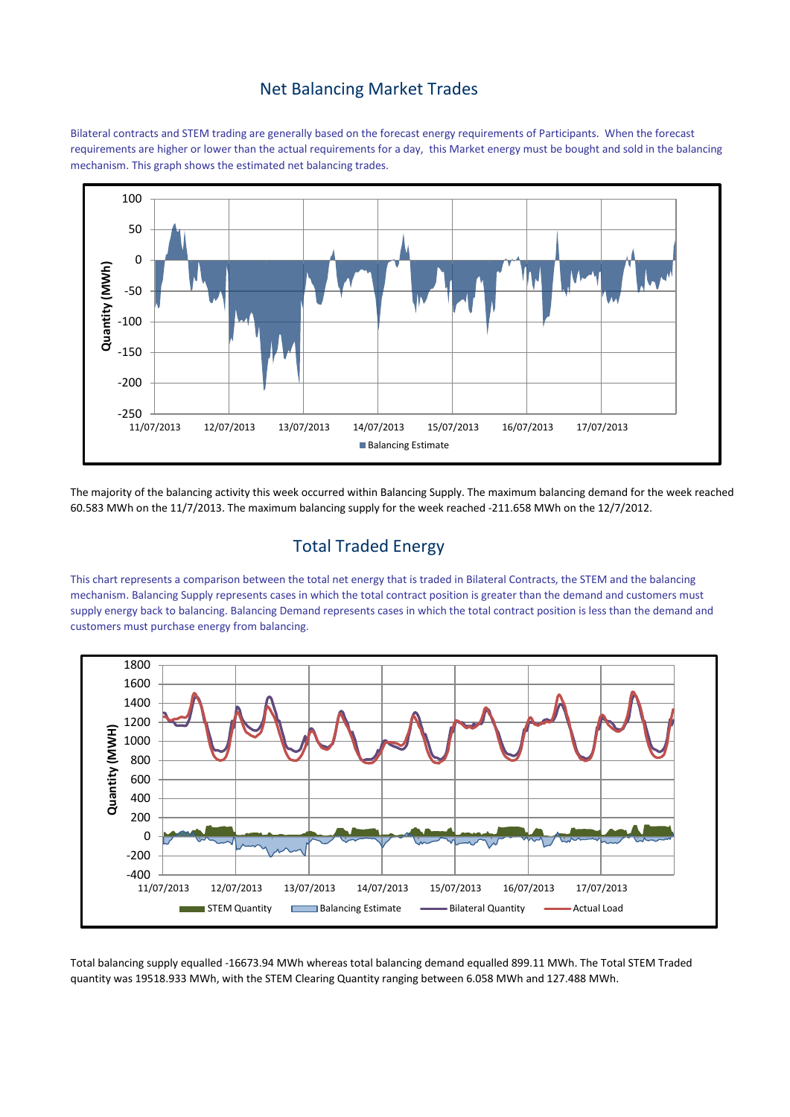#### Net Balancing Market Trades

Bilateral contracts and STEM trading are generally based on the forecast energy requirements of Participants. When the forecast requirements are higher or lower than the actual requirements for a day, this Market energy must be bought and sold in the balancing mechanism. This graph shows the estimated net balancing trades.



The majority of the balancing activity this week occurred within Balancing Supply. The maximum balancing demand for the week reached 60.583 MWh on the 11/7/2013. The maximum balancing supply for the week reached -211.658 MWh on the 12/7/2012.

# Total Traded Energy

This chart represents a comparison between the total net energy that is traded in Bilateral Contracts, the STEM and the balancing mechanism. Balancing Supply represents cases in which the total contract position is greater than the demand and customers must supply energy back to balancing. Balancing Demand represents cases in which the total contract position is less than the demand and customers must purchase energy from balancing.



Total balancing supply equalled -16673.94 MWh whereas total balancing demand equalled 899.11 MWh. The Total STEM Traded quantity was 19518.933 MWh, with the STEM Clearing Quantity ranging between 6.058 MWh and 127.488 MWh.